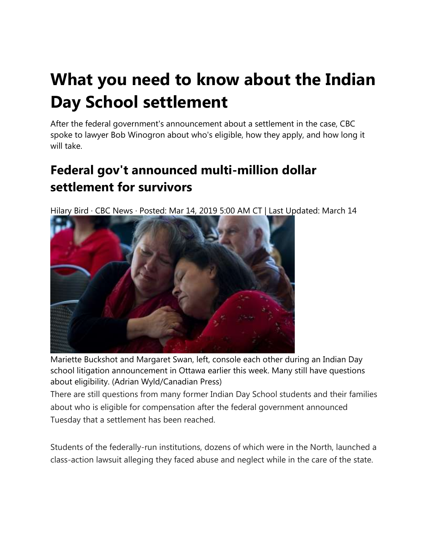# **What you need to know about the Indian Day School settlement**

After the federal government's announcement about a settlement in the case, CBC spoke to lawyer Bob Winogron about who's eligible, how they apply, and how long it will take.

## **Federal gov't announced multi-million dollar settlement for survivors**

Hilary Bird · CBC News · Posted: Mar 14, 2019 5:00 AM CT | Last Updated: March 14



Mariette Buckshot and Margaret Swan, left, console each other during an Indian Day school litigation announcement in Ottawa earlier this week. Many still have questions about eligibility. (Adrian Wyld/Canadian Press)

There are still questions from many former Indian Day School students and their families about who is eligible for compensation after the federal government announced Tuesday that a settlement has been reached.

Students of the federally-run institutions, dozens of which were in the North, launched a class-action lawsuit alleging they faced abuse and neglect while in the care of the state.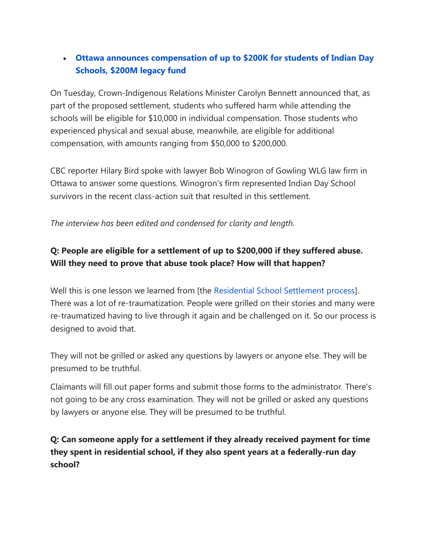#### • **[Ottawa announces compensation of up to \\$200K for students of Indian Day](https://www.cbc.ca/news/politics/indian-day-school-class-action-resolution-1.5052990)  [Schools, \\$200M legacy fund](https://www.cbc.ca/news/politics/indian-day-school-class-action-resolution-1.5052990)**

On Tuesday, Crown-Indigenous Relations Minister Carolyn Bennett announced that, as part of the proposed settlement, students who suffered harm while attending the schools will be eligible for \$10,000 in individual compensation. Those students who experienced physical and sexual abuse, meanwhile, are eligible for additional compensation, with amounts ranging from \$50,000 to \$200,000.

CBC reporter Hilary Bird spoke with lawyer Bob Winogron of Gowling WLG law firm in Ottawa to answer some questions. Winogron's firm represented Indian Day School survivors in the recent class-action suit that resulted in this settlement.

#### *The interview has been edited and condensed for clarity and length.*

#### **Q: People are eligible for a settlement of up to \$200,000 if they suffered abuse. Will they need to prove that abuse took place? How will that happen?**

Well this is one lesson we learned from [the [Residential School Settlement process\]](https://www.cbc.ca/news/canada/thunder-bay/residential-school-agreement-review-1.4920088). There was a lot of re-traumatization. People were grilled on their stories and many were re-traumatized having to live through it again and be challenged on it. So our process is designed to avoid that.

They will not be grilled or asked any questions by lawyers or anyone else. They will be presumed to be truthful.

Claimants will fill out paper forms and submit those forms to the administrator. There's not going to be any cross examination. They will not be grilled or asked any questions by lawyers or anyone else. They will be presumed to be truthful.

**Q: Can someone apply for a settlement if they already received payment for time they spent in residential school, if they also spent years at a federally-run day school?**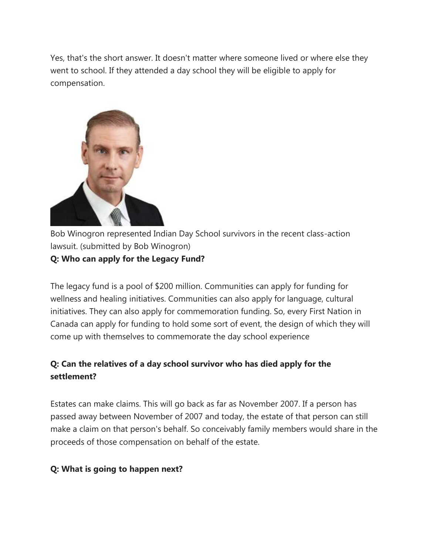Yes, that's the short answer. It doesn't matter where someone lived or where else they went to school. If they attended a day school they will be eligible to apply for compensation.



Bob Winogron represented Indian Day School survivors in the recent class-action lawsuit. (submitted by Bob Winogron)

#### **Q: Who can apply for the Legacy Fund?**

The legacy fund is a pool of \$200 million. Communities can apply for funding for wellness and healing initiatives. Communities can also apply for language, cultural initiatives. They can also apply for commemoration funding. So, every First Nation in Canada can apply for funding to hold some sort of event, the design of which they will come up with themselves to commemorate the day school experience

#### **Q: Can the relatives of a day school survivor who has died apply for the settlement?**

Estates can make claims. This will go back as far as November 2007. If a person has passed away between November of 2007 and today, the estate of that person can still make a claim on that person's behalf. So conceivably family members would share in the proceeds of those compensation on behalf of the estate.

#### **Q: What is going to happen next?**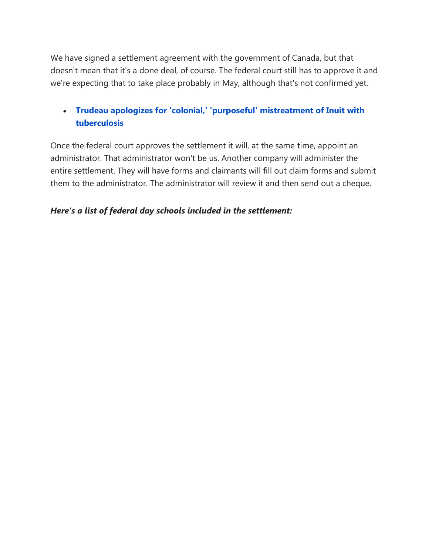We have signed a settlement agreement with the government of Canada, but that doesn't mean that it's a done deal, of course. The federal court still has to approve it and we're expecting that to take place probably in May, although that's not confirmed yet.

#### • **[Trudeau apologizes for 'colonial,' 'purposeful' mistreatment of Inuit with](https://www.cbc.ca/news/canada/north/trudeau-apology-tuberculosis-iqaluit-1.5047805)  [tuberculosis](https://www.cbc.ca/news/canada/north/trudeau-apology-tuberculosis-iqaluit-1.5047805)**

Once the federal court approves the settlement it will, at the same time, appoint an administrator. That administrator won't be us. Another company will administer the entire settlement. They will have forms and claimants will fill out claim forms and submit them to the administrator. The administrator will review it and then send out a cheque.

#### *Here's a list of federal day schools included in the settlement:*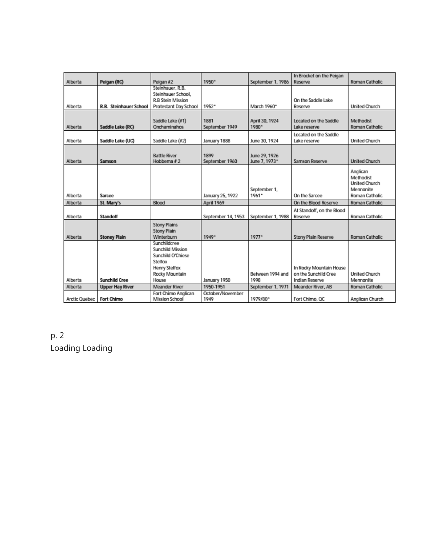|               |                               |                                              |                    |                   | In Brocket on the Peigan   |                      |
|---------------|-------------------------------|----------------------------------------------|--------------------|-------------------|----------------------------|----------------------|
| Alberta       | Peigan (RC)                   | Peigan #2                                    | 1950*              | September 1, 1986 | Reserve                    | Roman Catholic       |
|               |                               | Steinhauer, R.B.<br>Steinhauer School,       |                    |                   |                            |                      |
|               |                               | R.B Stein Mission                            |                    |                   | On the Saddle Lake         |                      |
| Alberta       | <b>R.B.</b> Steinhauer School | Protestant Day School                        | 1952*              | March 1960*       | Reserve                    | <b>United Church</b> |
|               |                               |                                              |                    |                   |                            |                      |
|               |                               | Saddle Lake (#1)                             | 1881               | April 30, 1924    | Located on the Saddle      | Methodist            |
| Alberta       | Saddle Lake (RC)              | Onchaminahos                                 | September 1949     | 1980*             | Lake reserve               | Roman Catholic       |
|               |                               |                                              |                    |                   | Located on the Saddle      |                      |
| Alberta       | Saddle Lake (UC)              | Saddle Lake (#2)                             | January 1888       | June 30, 1924     | Lake reserve               | <b>United Church</b> |
|               |                               |                                              |                    |                   |                            |                      |
|               |                               | <b>Battle River</b>                          | 1899               | June 29, 1926     |                            |                      |
| Alberta       | Samson                        | Hobbema $#2$                                 | September 1960     | June 7, 1973*     | Samson Reserve             | <b>United Church</b> |
|               |                               |                                              |                    |                   |                            | Anglican             |
|               |                               |                                              |                    |                   |                            | Methodist            |
|               |                               |                                              |                    |                   |                            | <b>United Church</b> |
|               |                               |                                              |                    | September 1,      |                            | Mennonite            |
| Alberta       | Sarcee                        |                                              | January 25, 1922   | 1961*             | On the Sarcee              | Roman Catholic       |
| Alberta       | St. Mary's                    | Blood                                        | April 1969         |                   | On the Blood Reserve       | Roman Catholic       |
|               |                               |                                              |                    |                   | At Standoff, on the Blood  |                      |
| Alberta       | <b>Standoff</b>               |                                              | September 14, 1953 | September 1, 1988 | Reserve                    | Roman Catholic       |
|               |                               | <b>Stony Plains</b>                          |                    |                   |                            |                      |
|               |                               | <b>Stony Plain</b>                           |                    |                   |                            |                      |
| Alberta       | <b>Stoney Plain</b>           | Winterburn                                   | 1949*              | $1977*$           | <b>Stony Plain Reserve</b> | Roman Catholic       |
|               |                               | Sunchildcree                                 |                    |                   |                            |                      |
|               |                               | <b>Sunchild Mission</b><br>Sunchild O'Chiese |                    |                   |                            |                      |
|               |                               | Stelfox                                      |                    |                   |                            |                      |
|               |                               | Henry Stelfox                                |                    |                   | In Rocky Mountain House    |                      |
|               |                               | Rocky Mountain                               |                    | Between 1994 and  | on the Sunchild Cree       | <b>United Church</b> |
| Alberta       | <b>Sunchild Cree</b>          | House                                        | January 1950       | 1998              | Indian Reserve             | Mennonite            |
| Alberta       | <b>Upper Hay River</b>        | Meander River                                | 1950-1951          | September 1, 1971 | Meander River, AB          | Roman Catholic       |
|               |                               | Fort Chimo Anglican                          | October/November   |                   |                            |                      |
| Arctic Quebec | <b>Fort Chimo</b>             | <b>Mission School</b>                        | 1949               | 1979/80*          | Fort Chimo, QC             | Anglican Church      |

### p. 2 Loading Loading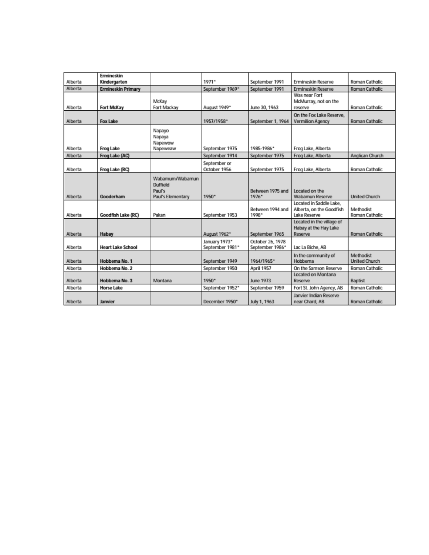| Alberta | <b>Frmineskin</b><br>Kindergarten |                                                            | $1071*$                          | September 1991                      | Ermineskin Reserve                                                  | Roman Catholic                    |
|---------|-----------------------------------|------------------------------------------------------------|----------------------------------|-------------------------------------|---------------------------------------------------------------------|-----------------------------------|
| Alberta | <b>Ermineskin Primary</b>         |                                                            | September 1969*                  | September 1991                      | Ermineskin Reserve                                                  | Roman Catholic                    |
| Alberta | Fort McKay                        | McKay<br>Fort Mackay                                       | August 1949*                     | June 30, 1963                       | Was near Fort<br>McMurray, not on the<br>reserve                    | Roman Catholic                    |
| Alberta | <b>Fox Lake</b>                   |                                                            | 1957/1958*                       | September 1, 1964                   | On the Fox Lake Reserve.<br>Vermilion Agency                        | Roman Catholic                    |
| Alberta | <b>Frog Lake</b>                  | Napayo<br>Napaya<br>Napewow<br>Napeweaw                    | September 1975                   | 1985-1986*                          | Frog Lake, Alberta                                                  |                                   |
| Alberta | Frog Lake (AC)                    |                                                            | September 1914                   | September 1975                      | Frog Lake, Alberta                                                  | Anglican Church                   |
| Alberta | Frog Lake (RC)                    |                                                            | September or<br>October 1956     | September 1975                      | Frog Lake, Alberta                                                  | Roman Catholic                    |
| Alberta | Gooderham                         | Wabamum/Wabamun<br>Duffield<br>Paul's<br>Paul's Elementary | 1950*                            | Between 1975 and<br>1976*           | Located on the<br>Wabamun Reserve                                   | <b>United Church</b>              |
| Alberta | Goodfish Lake (RC)                | Pakan                                                      | September 1953                   | Between 1994 and<br>1998*           | Located in Saddle Lake.<br>Alberta, on the Goodfish<br>Lake Reserve | Methodist<br>Roman Catholic       |
| Alberta | Habay                             |                                                            | August 1962*                     | September 1965                      | Located in the village of<br>Habay at the Hay Lake<br>Reserve       | Roman Catholic                    |
| Alberta | <b>Heart Lake School</b>          |                                                            | January 1973*<br>September 1981* | October 26, 1978<br>September 1986* | Lac La Biche, AB                                                    |                                   |
| Alberta | Hobbema No. 1                     |                                                            | September 1949                   | 1964/1965*                          | In the community of<br>Hobbema                                      | Methodist<br><b>United Church</b> |
| Alberta | Hobbema No. 2                     |                                                            | September 1950                   | April 1957                          | On the Samson Reserve                                               | Roman Catholic                    |
| Alberta | Hobbema No. 3                     | Montana                                                    | 1950*                            | June 1973                           | Located on Montana<br>Reserve                                       | Baptist                           |
| Alberta | <b>Horse Lake</b>                 |                                                            | September 1952*                  | September 1959                      | Fort St. John Agency, AB                                            | Roman Catholic                    |
| Alberta | Janvier                           |                                                            | December 1950*                   | July 1, 1963                        | Janvier Indian Reserve<br>near Chard, AB                            | Roman Catholic                    |